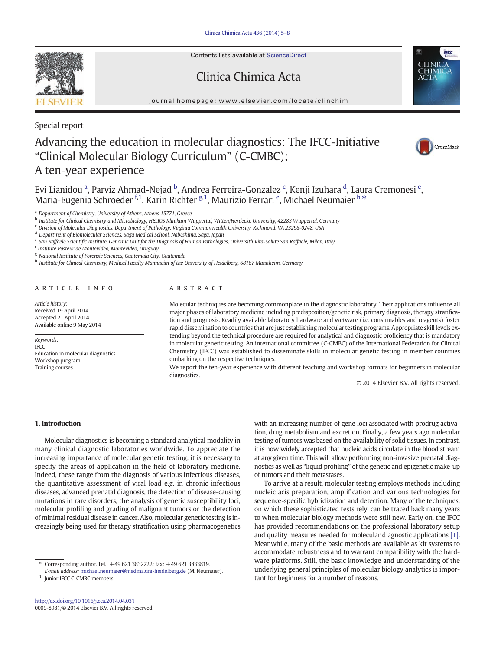Contents lists available at ScienceDirect

# Clinica Chimica Acta

journal homepage: www.elsevier.com/locate/clinchim

Special report

# Advancing the education in molecular diagnostics: The IFCC-Initiative "Clinical Molecular Biology Curriculum" (C-CMBC); A ten-year experience



Evi Lianidou <sup>a</sup>, Parviz Ahmad-Nejad <sup>b</sup>, Andrea Ferreira-Gonzalez <sup>c</sup>, Kenji Izuhara <sup>d</sup>, Laura Cremonesi <sup>e</sup>, Maria-Eugenia Schroeder <sup>f,1</sup>, Karin Richter <sup>g,1</sup>, Maurizio Ferrari <sup>e</sup>, Michael Neumaier <sup>h,\*</sup>

a Department of Chemistry, University of Athens, Athens 15771, Greece

**b Institute for Clinical Chemistry and Microbiology, HELIOS Klinikum Wuppertal, Witten/Herdecke University, 42283 Wuppertal, Germany** 

<sup>c</sup> Division of Molecular Diagnostics, Department of Pathology, Virginia Commonwealth University, Richmond, VA 23298-0248, USA

<sup>d</sup> Department of Biomolecular Sciences, Saga Medical School, Nabeshima, Saga, Japan

<sup>e</sup> San Raffaele Scientific Institute, Genomic Unit for the Diagnosis of Human Pathologies, Università Vita-Salute San Raffaele, Milan, Italy

<sup>f</sup> Institute Pasteur de Montevideo, Montevideo, Uruguay

<sup>g</sup> National Institute of Forensic Sciences, Guatemala City, Guatemala

h Institute for Clinical Chemistry, Medical Faculty Mannheim of the University of Heidelberg, 68167 Mannheim, Germany

### article info abstract

Article history: Received 19 April 2014 Accepted 21 April 2014 Available online 9 May 2014

Keywords: **IFCC** Education in molecular diagnostics Workshop program Training courses

Molecular techniques are becoming commonplace in the diagnostic laboratory. Their applications influence all major phases of laboratory medicine including predisposition/genetic risk, primary diagnosis, therapy stratification and prognosis. Readily available laboratory hardware and wetware (i.e. consumables and reagents) foster rapid dissemination to countries that are just establishing molecular testing programs. Appropriate skill levels extending beyond the technical procedure are required for analytical and diagnostic proficiency that is mandatory in molecular genetic testing. An international committee (C-CMBC) of the International Federation for Clinical Chemistry (IFCC) was established to disseminate skills in molecular genetic testing in member countries embarking on the respective techniques.

We report the ten-year experience with different teaching and workshop formats for beginners in molecular diagnostics.

© 2014 Elsevier B.V. All rights reserved.

1. Introduction

Molecular diagnostics is becoming a standard analytical modality in many clinical diagnostic laboratories worldwide. To appreciate the increasing importance of molecular genetic testing, it is necessary to specify the areas of application in the field of laboratory medicine. Indeed, these range from the diagnosis of various infectious diseases, the quantitative assessment of viral load e.g. in chronic infectious diseases, advanced prenatal diagnosis, the detection of disease-causing mutations in rare disorders, the analysis of genetic susceptibility loci, molecular profiling and grading of malignant tumors or the detection of minimal residual disease in cancer. Also, molecular genetic testing is increasingly being used for therapy stratification using pharmacogenetics

⁎ Corresponding author. Tel.: +49 621 3832222; fax: +49 621 3833819.

E-mail address: [michael.neumaier@medma.uni-heidelberg.de](mailto:michael.neumaier@medma.uni-heidelberg.de) (M. Neumaier).

<sup>1</sup> Junior IFCC C-CMBC members.

with an increasing number of gene loci associated with prodrug activation, drug metabolism and excretion. Finally, a few years ago molecular testing of tumors was based on the availability of solid tissues. In contrast, it is now widely accepted that nucleic acids circulate in the blood stream at any given time. This will allow performing non-invasive prenatal diagnostics as well as "liquid profiling" of the genetic and epigenetic make-up of tumors and their metastases.

To arrive at a result, molecular testing employs methods including nucleic acis preparation, amplification and various technologies for sequence-specific hybridization and detection. Many of the techniques, on which these sophisticated tests rely, can be traced back many years to when molecular biology methods were still new. Early on, the IFCC has provided recommendations on the professional laboratory setup and quality measures needed for molecular diagnostic applications [\[1\].](#page-3-0) Meanwhile, many of the basic methods are available as kit systems to accommodate robustness and to warrant compatibility with the hardware platforms. Still, the basic knowledge and understanding of the underlying general principles of molecular biology analytics is important for beginners for a number of reasons.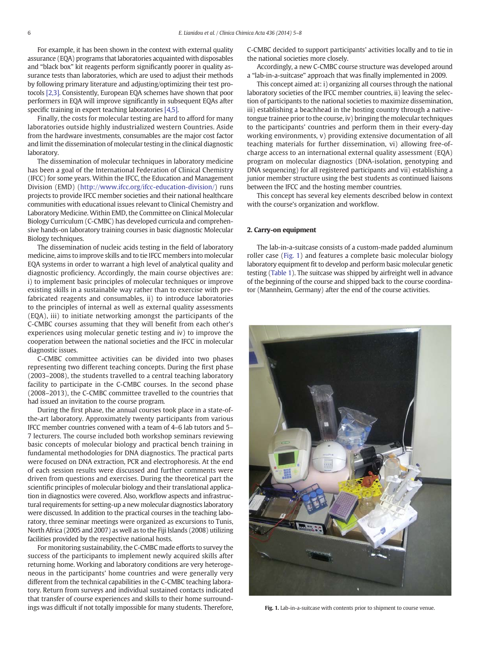For example, it has been shown in the context with external quality assurance (EQA) programs that laboratories acquainted with disposables and "black box" kit reagents perform significantly poorer in quality assurance tests than laboratories, which are used to adjust their methods by following primary literature and adjusting/optimizing their test protocols [\[2,3\]](#page-3-0). Consistently, European EQA schemes have shown that poor performers in EQA will improve significantly in subsequent EQAs after specific training in expert teaching laboratories [\[4,5\].](#page-3-0)

Finally, the costs for molecular testing are hard to afford for many laboratories outside highly industrialized western Countries. Aside from the hardware investments, consumables are the major cost factor and limit the dissemination of molecular testing in the clinical diagnostic laboratory.

The dissemination of molecular techniques in laboratory medicine has been a goal of the International Federation of Clinical Chemistry (IFCC) for some years. Within the IFCC, the Education and Management Division (EMD) ([http://www.ifcc.org/ifcc-education-division/\)](http://www.ifcc.org/ifcc-education-division/) runs projects to provide IFCC member societies and their national healthcare communities with educational issues relevant to Clinical Chemistry and Laboratory Medicine. Within EMD, the Committee on Clinical Molecular Biology Curriculum (C-CMBC) has developed curricula and comprehensive hands-on laboratory training courses in basic diagnostic Molecular Biology techniques.

The dissemination of nucleic acids testing in the field of laboratory medicine, aims to improve skills and to tie IFCC members into molecular EQA systems in order to warrant a high level of analytical quality and diagnostic proficiency. Accordingly, the main course objectives are: i) to implement basic principles of molecular techniques or improve existing skills in a sustainable way rather than to exercise with prefabricated reagents and consumables, ii) to introduce laboratories to the principles of internal as well as external quality assessments (EQA), iii) to initiate networking amongst the participants of the C-CMBC courses assuming that they will benefit from each other's experiences using molecular genetic testing and iv) to improve the cooperation between the national societies and the IFCC in molecular diagnostic issues.

C-CMBC committee activities can be divided into two phases representing two different teaching concepts. During the first phase (2003–2008), the students travelled to a central teaching laboratory facility to participate in the C-CMBC courses. In the second phase (2008–2013), the C-CMBC committee travelled to the countries that had issued an invitation to the course program.

During the first phase, the annual courses took place in a state-ofthe-art laboratory. Approximately twenty participants from various IFCC member countries convened with a team of 4–6 lab tutors and 5– 7 lecturers. The course included both workshop seminars reviewing basic concepts of molecular biology and practical bench training in fundamental methodologies for DNA diagnostics. The practical parts were focused on DNA extraction, PCR and electrophoresis. At the end of each session results were discussed and further comments were driven from questions and exercises. During the theoretical part the scientific principles of molecular biology and their translational application in diagnostics were covered. Also, workflow aspects and infrastructural requirements for setting-up a new molecular diagnostics laboratory were discussed. In addition to the practical courses in the teaching laboratory, three seminar meetings were organized as excursions to Tunis, North Africa (2005 and 2007) as well as to the Fiji Islands (2008) utilizing facilities provided by the respective national hosts.

For monitoring sustainability, the C-CMBC made efforts to survey the success of the participants to implement newly acquired skills after returning home. Working and laboratory conditions are very heterogeneous in the participants' home countries and were generally very different from the technical capabilities in the C-CMBC teaching laboratory. Return from surveys and individual sustained contacts indicated that transfer of course experiences and skills to their home surroundings was difficult if not totally impossible for many students. Therefore, C-CMBC decided to support participants' activities locally and to tie in the national societies more closely.

Accordingly, a new C-CMBC course structure was developed around a "lab-in-a-suitcase" approach that was finally implemented in 2009.

This concept aimed at: i) organizing all courses through the national laboratory societies of the IFCC member countries, ii) leaving the selection of participants to the national societies to maximize dissemination, iii) establishing a beachhead in the hosting country through a nativetongue trainee prior to the course, iv) bringing the molecular techniques to the participants' countries and perform them in their every-day working environments, v) providing extensive documentation of all teaching materials for further dissemination, vi) allowing free-ofcharge access to an international external quality assessment (EQA) program on molecular diagnostics (DNA-isolation, genotyping and DNA sequencing) for all registered participants and vii) establishing a junior member structure using the best students as continued liaisons between the IFCC and the hosting member countries.

This concept has several key elements described below in context with the course's organization and workflow.

## 2. Carry-on equipment

The lab-in-a-suitcase consists of a custom-made padded aluminum roller case (Fig. 1) and features a complete basic molecular biology laboratory equipment fit to develop and perform basic molecular genetic testing [\(Table 1](#page-2-0)). The suitcase was shipped by airfreight well in advance of the beginning of the course and shipped back to the course coordinator (Mannheim, Germany) after the end of the course activities.



Fig. 1. Lab-in-a-suitcase with contents prior to shipment to course venue.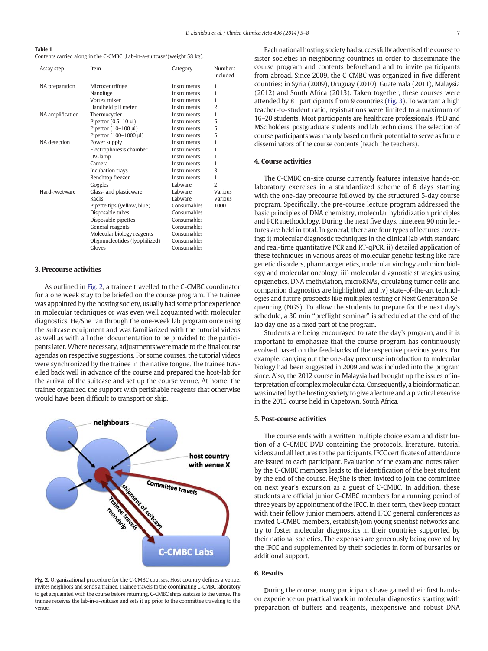<span id="page-2-0"></span>

| Table 1                                                                  |  |
|--------------------------------------------------------------------------|--|
| Contents carried along in the C-CMBC "Lab-in-a-suitcase" (weight 58 kg). |  |

| Assay step       | Item                           | Category    | <b>Numbers</b><br>included |
|------------------|--------------------------------|-------------|----------------------------|
| NA preparation   | Microcentrifuge                | Instruments | 1                          |
|                  | Nanofuge                       | Instruments | 1                          |
|                  | Vortex mixer                   | Instruments | 1                          |
|                  | Handheld pH meter              | Instruments | 2                          |
| NA amplification | Thermocycler                   | Instruments | 1                          |
|                  | Pipettor $(0.5-10 \mu l)$      | Instruments | 5                          |
|                  | Pipettor (10-100 µl)           | Instruments | 5                          |
|                  | Pipettor (100-1000 µl)         | Instruments | 5                          |
| NA detection     | Power supply                   | Instruments | 1                          |
|                  | Electrophoresis chamber        | Instruments | 1                          |
|                  | UV-lamp                        | Instruments | 1                          |
|                  | Camera                         | Instruments | 1                          |
|                  | Incubation trays               | Instruments | 3                          |
|                  | Benchtop freezer               | Instruments | 1                          |
|                  | Goggles                        | Labware     | $\mathfrak{D}$             |
| Hard-/wetware    | Glass- and plasticware         | Labware     | Various                    |
|                  | Racks                          | Labware     | Various                    |
|                  | Pipette tips (yellow, blue)    | Consumables | 1000                       |
|                  | Disposable tubes               | Consumables |                            |
|                  | Disposable pipettes            | Consumables |                            |
|                  | General reagents               | Consumables |                            |
|                  | Molecular biology reagents     | Consumables |                            |
|                  | Oligonucleotides (lyophilized) | Consumables |                            |
|                  | Gloves                         | Consumables |                            |

### 3. Precourse activities

As outlined in Fig. 2, a trainee travelled to the C-CMBC coordinator for a one week stay to be briefed on the course program. The trainee was appointed by the hosting society, usually had some prior experience in molecular techniques or was even well acquainted with molecular diagnostics. He/She ran through the one-week lab program once using the suitcase equipment and was familiarized with the tutorial videos as well as with all other documentation to be provided to the participants later. Where necessary, adjustments were made to the final course agendas on respective suggestions. For some courses, the tutorial videos were synchronized by the trainee in the native tongue. The trainee travelled back well in advance of the course and prepared the host-lab for the arrival of the suitcase and set up the course venue. At home, the trainee organized the support with perishable reagents that otherwise would have been difficult to transport or ship.



Fig. 2. Organizational procedure for the C-CMBC courses. Host country defines a venue, invites neighbors and sends a trainee. Trainee travels to the coordinating C-CMBC laboratory to get acquainted with the course before returning. C-CMBC ships suitcase to the venue. The trainee receives the lab-in-a-suitcase and sets it up prior to the committee traveling to the venue.

(2012) and South Africa (2013). Taken together, these courses were attended by 81 participants from 9 countries [\(Fig. 3](#page-3-0)). To warrant a high teacher-to-student ratio, registrations were limited to a maximum of 16–20 students. Most participants are healthcare professionals, PhD and MSc holders, postgraduate students and lab technicians. The selection of course participants was mainly based on their potential to serve as future disseminators of the course contents (teach the teachers).

# 4. Course activities

The C-CMBC on-site course currently features intensive hands-on laboratory exercises in a standardized scheme of 6 days starting with the one-day precourse followed by the structured 5-day course program. Specifically, the pre-course lecture program addressed the basic principles of DNA chemistry, molecular hybridization principles and PCR methodology. During the next five days, nineteen 90 min lectures are held in total. In general, there are four types of lectures covering: i) molecular diagnostic techniques in the clinical lab with standard and real-time quantitative PCR and RT-qPCR, ii) detailed application of these techniques in various areas of molecular genetic testing like rare genetic disorders, pharmacogenetics, molecular virology and microbiology and molecular oncology, iii) molecular diagnostic strategies using epigenetics, DNA methylation, microRNAs, circulating tumor cells and companion diagnostics are highlighted and iv) state-of-the-art technologies and future prospects like multiplex testing or Next Generation Sequencing (NGS). To allow the students to prepare for the next day's schedule, a 30 min "preflight seminar" is scheduled at the end of the lab day one as a fixed part of the program.

Students are being encouraged to rate the day's program, and it is important to emphasize that the course program has continuously evolved based on the feed-backs of the respective previous years. For example, carrying out the one-day precourse introduction to molecular biology had been suggested in 2009 and was included into the program since. Also, the 2012 course in Malaysia had brought up the issues of interpretation of complex molecular data. Consequently, a bioinformatician was invited by the hosting society to give a lecture and a practical exercise in the 2013 course held in Capetown, South Africa.

## 5. Post-course activities

The course ends with a written multiple choice exam and distribution of a C-CMBC DVD containing the protocols, literature, tutorial videos and all lectures to the participants. IFCC certificates of attendance are issued to each participant. Evaluation of the exam and notes taken by the C-CMBC members leads to the identification of the best student by the end of the course. He/She is then invited to join the committee on next year's excursion as a guest of C-CMBC. In addition, these students are official junior C-CMBC members for a running period of three years by appointment of the IFCC. In their term, they keep contact with their fellow junior members, attend IFCC general conferences as invited C-CMBC members, establish/join young scientist networks and try to foster molecular diagnostics in their countries supported by their national societies. The expenses are generously being covered by the IFCC and supplemented by their societies in form of bursaries or additional support.

# 6. Results

During the course, many participants have gained their first handson experience on practical work in molecular diagnostics starting with preparation of buffers and reagents, inexpensive and robust DNA